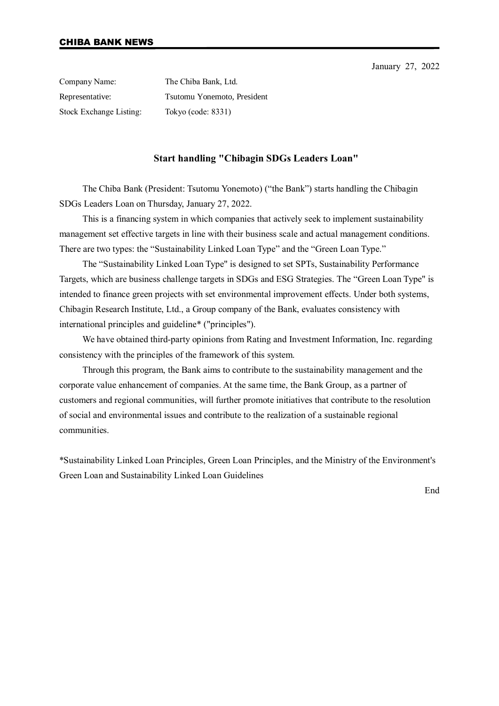January 27, 2022

Company Name: The Chiba Bank, Ltd. Representative: Tsutomu Yonemoto, President Stock Exchange Listing: Tokyo (code: 8331)

## **Start handling "Chibagin SDGs Leaders Loan"**

The Chiba Bank (President: Tsutomu Yonemoto) ("the Bank") starts handling the Chibagin SDGs Leaders Loan on Thursday, January 27, 2022.

This is a financing system in which companies that actively seek to implement sustainability management set effective targets in line with their business scale and actual management conditions. There are two types: the "Sustainability Linked Loan Type" and the "Green Loan Type."

The "Sustainability Linked Loan Type" is designed to set SPTs, Sustainability Performance Targets, which are business challenge targets in SDGs and ESG Strategies. The "Green Loan Type" is intended to finance green projects with set environmental improvement effects. Under both systems, Chibagin Research Institute, Ltd., a Group company of the Bank, evaluates consistency with international principles and guideline\* ("principles").

We have obtained third-party opinions from Rating and Investment Information, Inc. regarding consistency with the principles of the framework of this system.

Through this program, the Bank aims to contribute to the sustainability management and the corporate value enhancement of companies. At the same time, the Bank Group, as a partner of customers and regional communities, will further promote initiatives that contribute to the resolution of social and environmental issues and contribute to the realization of a sustainable regional communities.

\*Sustainability Linked Loan Principles, Green Loan Principles, and the Ministry of the Environment's Green Loan and Sustainability Linked Loan Guidelines

End